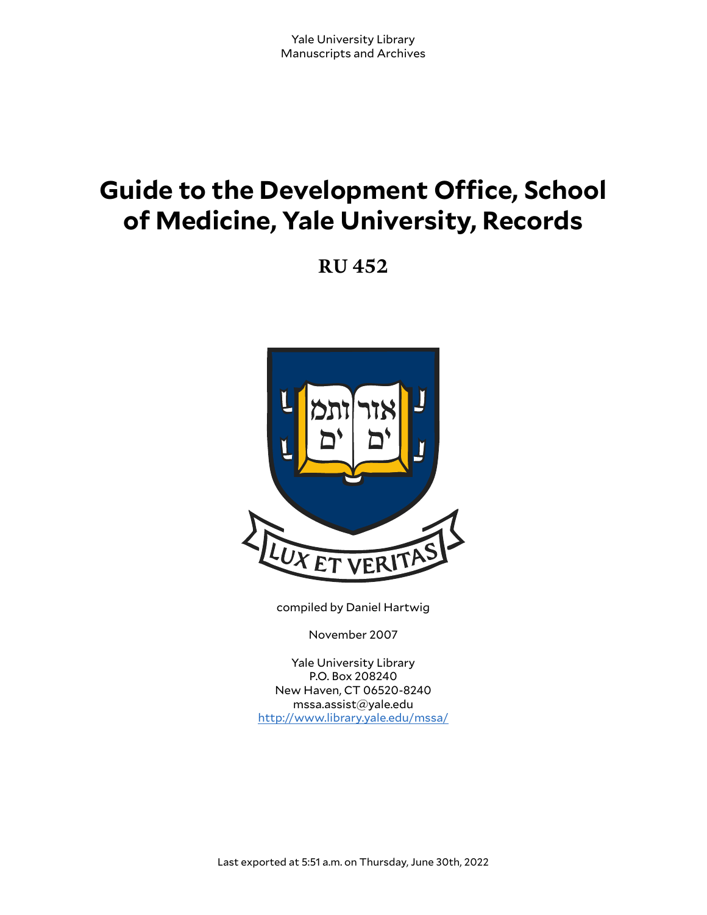# **Guide to the Development Office, School of Medicine, Yale University, Records**

**RU 452**



compiled by Daniel Hartwig

November 2007

Yale University Library P.O. Box 208240 New Haven, CT 06520-8240 mssa.assist@yale.edu <http://www.library.yale.edu/mssa/>

Last exported at 5:51 a.m. on Thursday, June 30th, 2022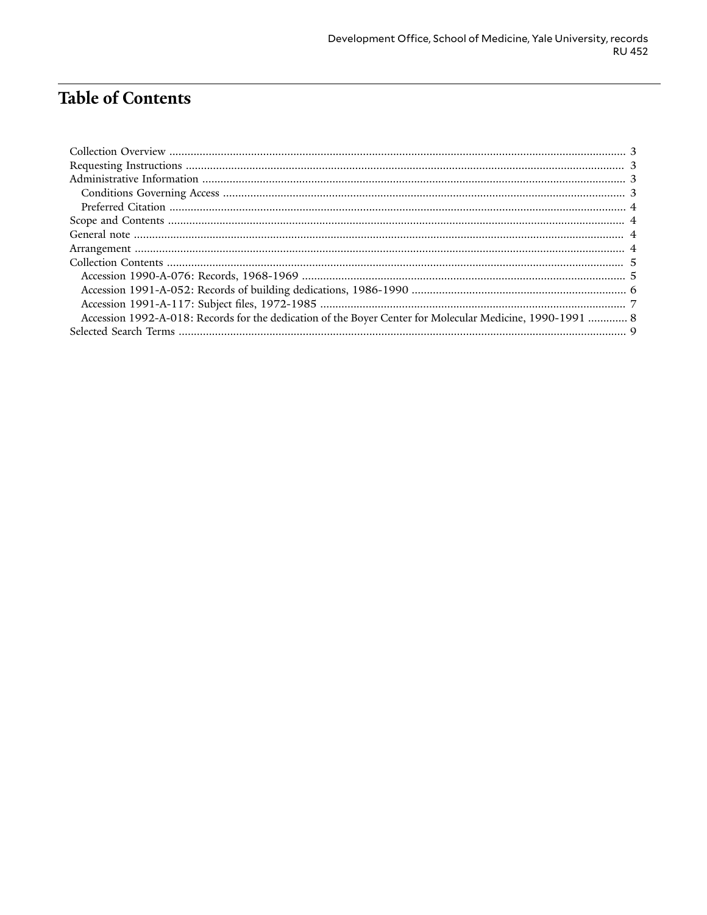# **Table of Contents**

| Accession 1992-A-018: Records for the dedication of the Boyer Center for Molecular Medicine, 1990-1991  8 |  |
|-----------------------------------------------------------------------------------------------------------|--|
|                                                                                                           |  |
|                                                                                                           |  |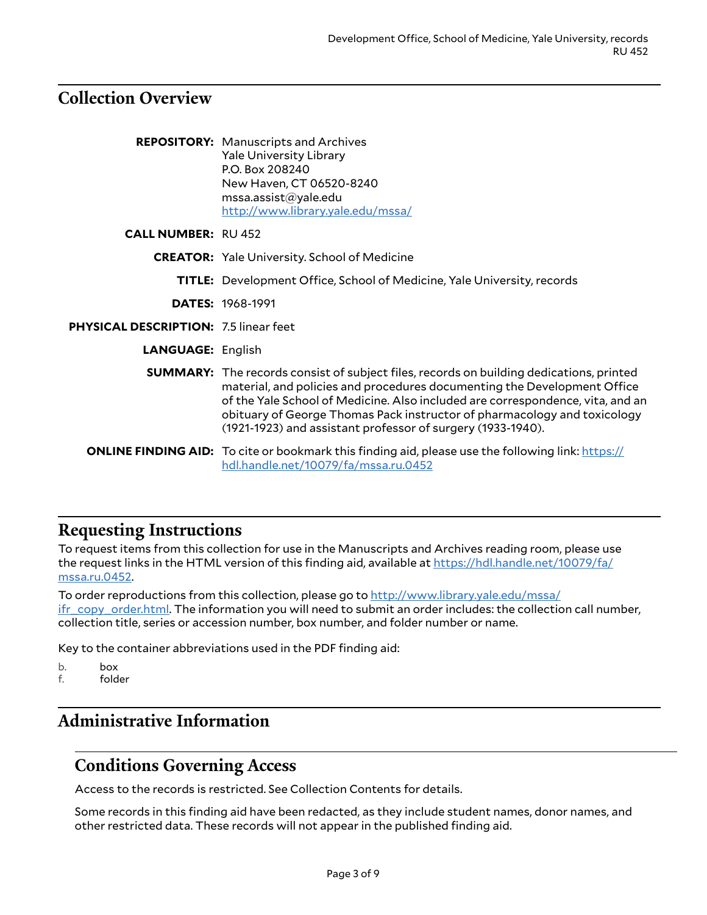## <span id="page-2-0"></span>**Collection Overview**

|                                              | <b>REPOSITORY:</b> Manuscripts and Archives<br><b>Yale University Library</b><br>P.O. Box 208240<br>New Haven, CT 06520-8240<br>msa. assist@yale.edu<br>http://www.library.yale.edu/mssa/                                                                                                                                                                                                               |
|----------------------------------------------|---------------------------------------------------------------------------------------------------------------------------------------------------------------------------------------------------------------------------------------------------------------------------------------------------------------------------------------------------------------------------------------------------------|
| <b>CALL NUMBER: RU 452</b>                   |                                                                                                                                                                                                                                                                                                                                                                                                         |
|                                              | <b>CREATOR:</b> Yale University. School of Medicine                                                                                                                                                                                                                                                                                                                                                     |
|                                              | <b>TITLE:</b> Development Office, School of Medicine, Yale University, records                                                                                                                                                                                                                                                                                                                          |
|                                              | <b>DATES: 1968-1991</b>                                                                                                                                                                                                                                                                                                                                                                                 |
| <b>PHYSICAL DESCRIPTION: 7.5 linear feet</b> |                                                                                                                                                                                                                                                                                                                                                                                                         |
| <b>LANGUAGE: English</b>                     |                                                                                                                                                                                                                                                                                                                                                                                                         |
|                                              | <b>SUMMARY:</b> The records consist of subject files, records on building dedications, printed<br>material, and policies and procedures documenting the Development Office<br>of the Yale School of Medicine. Also included are correspondence, vita, and an<br>obituary of George Thomas Pack instructor of pharmacology and toxicology<br>(1921-1923) and assistant professor of surgery (1933-1940). |
|                                              | <b>ONLINE FINDING AID:</b> To cite or bookmark this finding aid, please use the following link: https://<br>hdl.handle.net/10079/fa/mssa.ru.0452                                                                                                                                                                                                                                                        |

## <span id="page-2-1"></span>**Requesting Instructions**

To request items from this collection for use in the Manuscripts and Archives reading room, please use the request links in the HTML version of this finding aid, available at [https://hdl.handle.net/10079/fa/](https://hdl.handle.net/10079/fa/mssa.ru.0452) [mssa.ru.0452.](https://hdl.handle.net/10079/fa/mssa.ru.0452)

To order reproductions from this collection, please go to [http://www.library.yale.edu/mssa/](http://www.library.yale.edu/mssa/ifr_copy_order.html) [ifr\\_copy\\_order.html.](http://www.library.yale.edu/mssa/ifr_copy_order.html) The information you will need to submit an order includes: the collection call number, collection title, series or accession number, box number, and folder number or name.

Key to the container abbreviations used in the PDF finding aid:

- b. box<br>f. fold
- folder

# <span id="page-2-2"></span>**Administrative Information**

## <span id="page-2-3"></span>**Conditions Governing Access**

Access to the records is restricted. See Collection Contents for details.

Some records in this finding aid have been redacted, as they include student names, donor names, and other restricted data. These records will not appear in the published finding aid.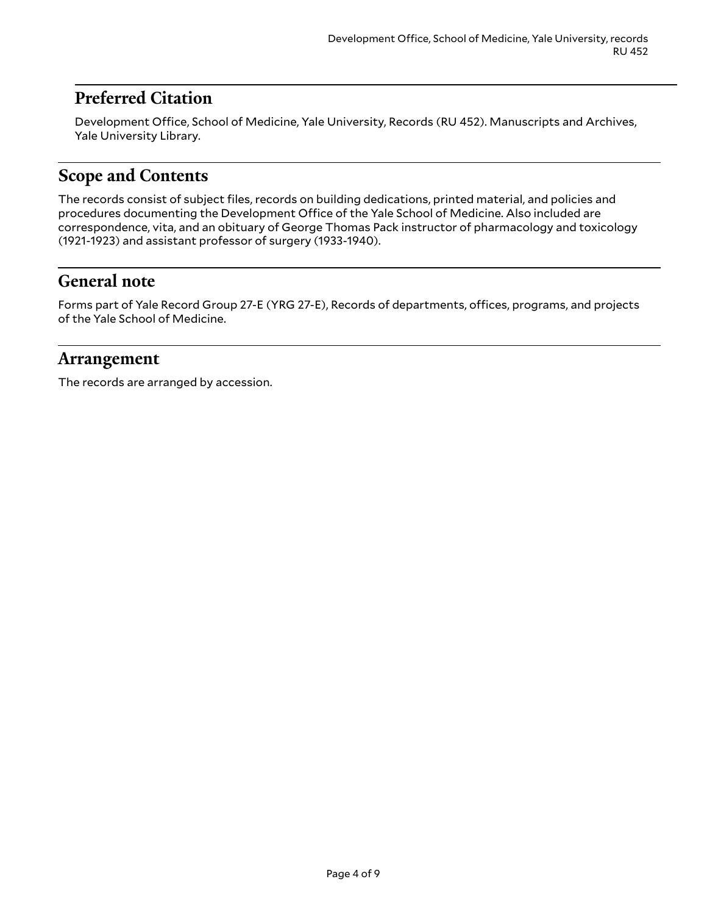## <span id="page-3-0"></span>**Preferred Citation**

Development Office, School of Medicine, Yale University, Records (RU 452). Manuscripts and Archives, Yale University Library.

## <span id="page-3-1"></span>**Scope and Contents**

The records consist of subject files, records on building dedications, printed material, and policies and procedures documenting the Development Office of the Yale School of Medicine. Also included are correspondence, vita, and an obituary of George Thomas Pack instructor of pharmacology and toxicology (1921-1923) and assistant professor of surgery (1933-1940).

## <span id="page-3-2"></span>**General note**

Forms part of Yale Record Group 27-E (YRG 27-E), Records of departments, offices, programs, and projects of the Yale School of Medicine.

### <span id="page-3-3"></span>**Arrangement**

The records are arranged by accession.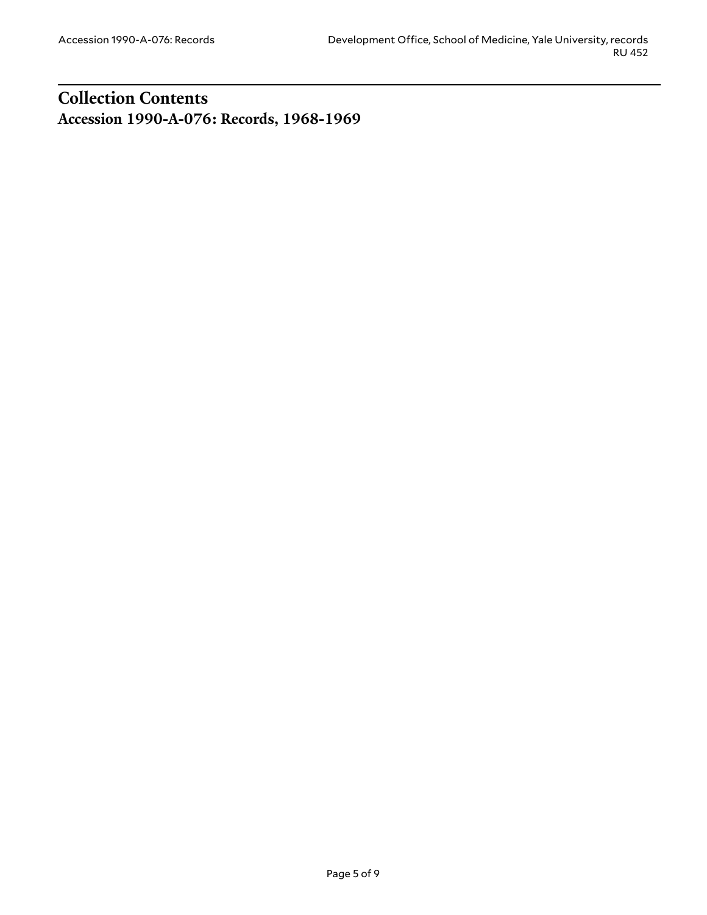## <span id="page-4-1"></span><span id="page-4-0"></span>**Collection Contents Accession 1990-A-076: Records, 1968-1969**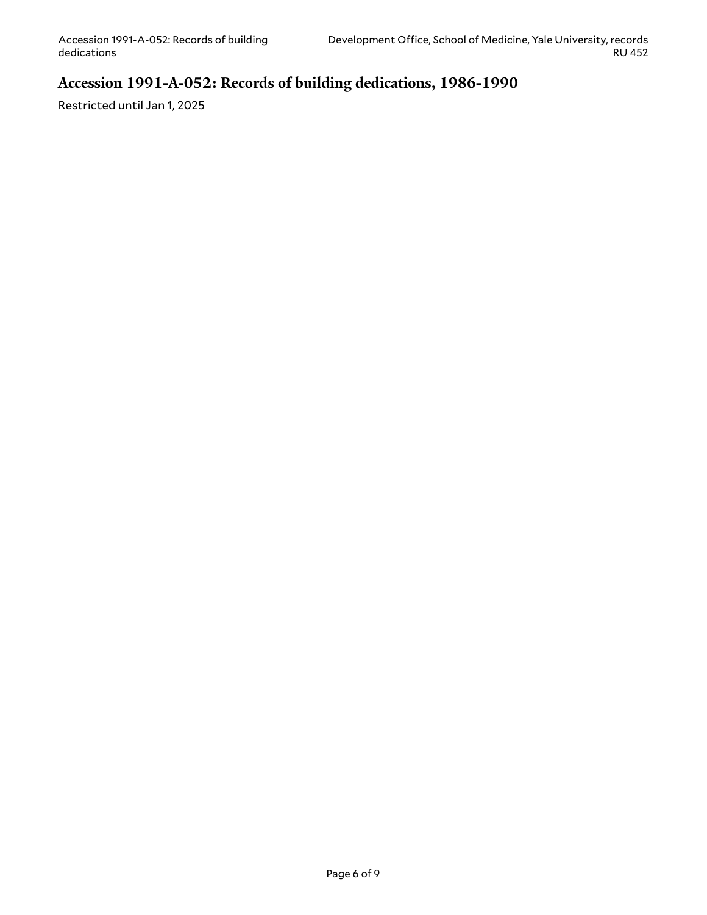## <span id="page-5-0"></span>**Accession 1991-A-052: Records of building dedications, 1986-1990**

Restricted until Jan 1, 2025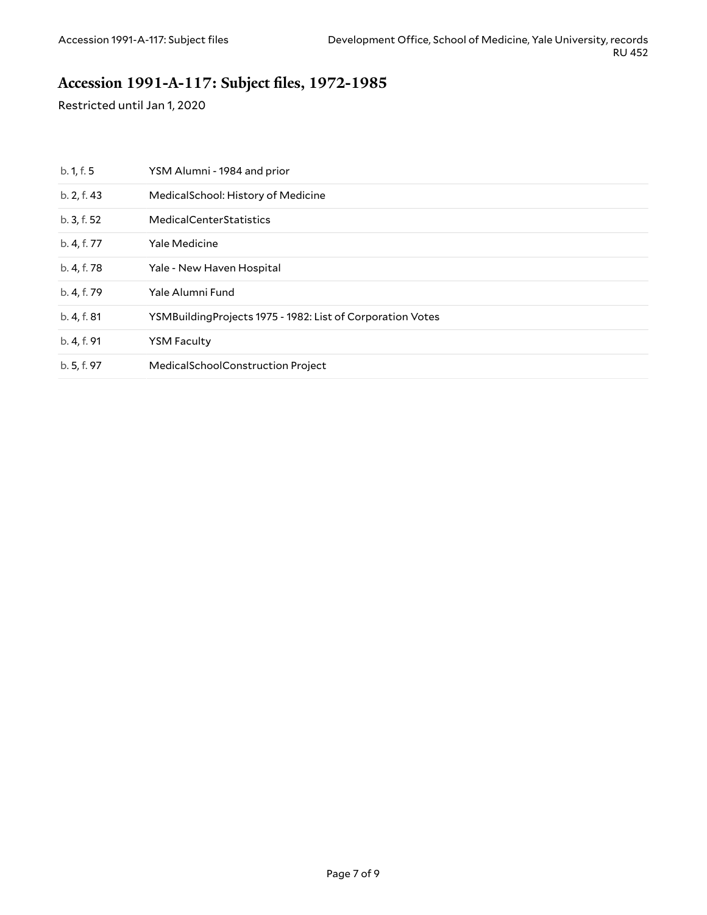## <span id="page-6-0"></span>**Accession 1991-A-117: Subject files, 1972-1985**

Restricted until Jan 1, 2020

| b. 1, f. 5  | YSM Alumni - 1984 and prior                                 |
|-------------|-------------------------------------------------------------|
| b. 2, f. 43 | Medical School: History of Medicine                         |
| b.3, f.52   | <b>MedicalCenterStatistics</b>                              |
| b. 4, f. 77 | Yale Medicine                                               |
| b. 4, f. 78 | Yale - New Haven Hospital                                   |
| b. 4, f. 79 | Yale Alumni Fund                                            |
| b. 4, f. 81 | YSMBuilding Projects 1975 - 1982: List of Corporation Votes |
| b. 4, f. 91 | <b>YSM Faculty</b>                                          |
| b. 5, f. 97 | MedicalSchoolConstruction Project                           |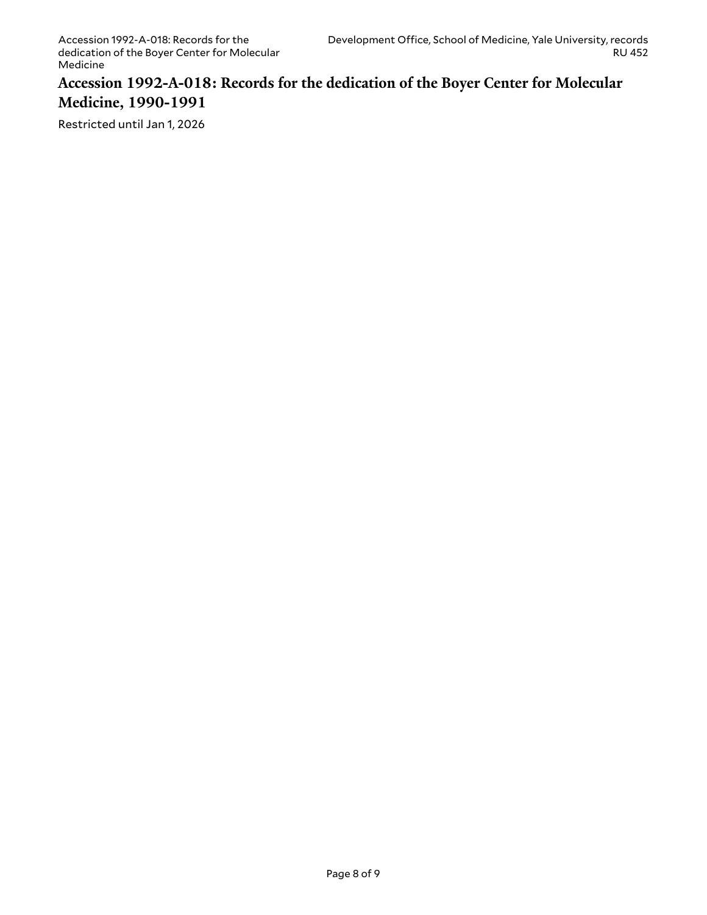#### <span id="page-7-0"></span>**Accession 1992-A-018: Records for the dedication of the Boyer Center for Molecular Medicine, 1990-1991**

Restricted until Jan 1, 2026